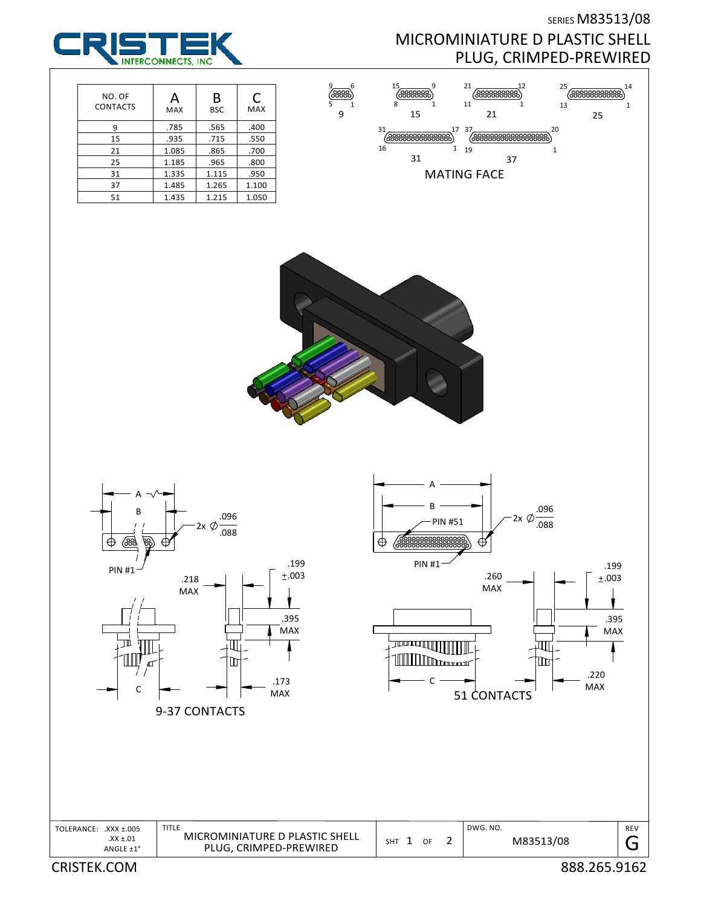SERIES M83513/08 MICROMINIATURE D PLASTIC SHELL PLUG, CRIMPED-PREWIRED